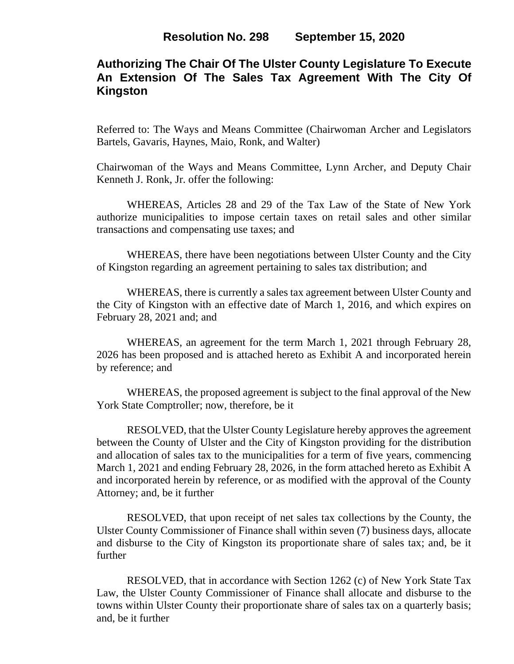# **Authorizing The Chair Of The Ulster County Legislature To Execute An Extension Of The Sales Tax Agreement With The City Of Kingston**

Referred to: The Ways and Means Committee (Chairwoman Archer and Legislators Bartels, Gavaris, Haynes, Maio, Ronk, and Walter)

Chairwoman of the Ways and Means Committee, Lynn Archer, and Deputy Chair Kenneth J. Ronk, Jr. offer the following:

WHEREAS, Articles 28 and 29 of the Tax Law of the State of New York authorize municipalities to impose certain taxes on retail sales and other similar transactions and compensating use taxes; and

WHEREAS, there have been negotiations between Ulster County and the City of Kingston regarding an agreement pertaining to sales tax distribution; and

WHEREAS, there is currently a sales tax agreement between Ulster County and the City of Kingston with an effective date of March 1, 2016, and which expires on February 28, 2021 and; and

WHEREAS, an agreement for the term March 1, 2021 through February 28, 2026 has been proposed and is attached hereto as Exhibit A and incorporated herein by reference; and

WHEREAS, the proposed agreement is subject to the final approval of the New York State Comptroller; now, therefore, be it

RESOLVED, that the Ulster County Legislature hereby approves the agreement between the County of Ulster and the City of Kingston providing for the distribution and allocation of sales tax to the municipalities for a term of five years, commencing March 1, 2021 and ending February 28, 2026, in the form attached hereto as Exhibit A and incorporated herein by reference, or as modified with the approval of the County Attorney; and, be it further

RESOLVED, that upon receipt of net sales tax collections by the County, the Ulster County Commissioner of Finance shall within seven (7) business days, allocate and disburse to the City of Kingston its proportionate share of sales tax; and, be it further

RESOLVED, that in accordance with Section 1262 (c) of New York State Tax Law, the Ulster County Commissioner of Finance shall allocate and disburse to the towns within Ulster County their proportionate share of sales tax on a quarterly basis; and, be it further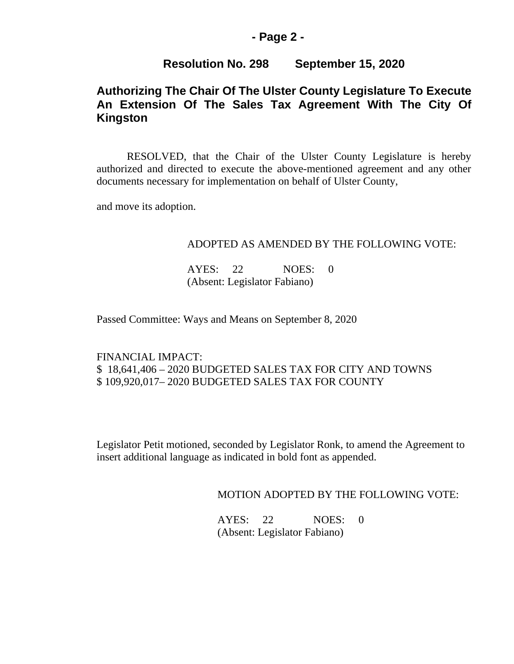### **- Page 2 -**

### **Resolution No. 298 September 15, 2020**

# **Authorizing The Chair Of The Ulster County Legislature To Execute An Extension Of The Sales Tax Agreement With The City Of Kingston**

RESOLVED, that the Chair of the Ulster County Legislature is hereby authorized and directed to execute the above-mentioned agreement and any other documents necessary for implementation on behalf of Ulster County,

and move its adoption.

#### ADOPTED AS AMENDED BY THE FOLLOWING VOTE:

AYES: 22 NOES: 0 (Absent: Legislator Fabiano)

Passed Committee: Ways and Means on September 8, 2020

### FINANCIAL IMPACT: \$ 18,641,406 – 2020 BUDGETED SALES TAX FOR CITY AND TOWNS \$ 109,920,017– 2020 BUDGETED SALES TAX FOR COUNTY

Legislator Petit motioned, seconded by Legislator Ronk, to amend the Agreement to insert additional language as indicated in bold font as appended.

MOTION ADOPTED BY THE FOLLOWING VOTE:

AYES: 22 NOES: 0 (Absent: Legislator Fabiano)